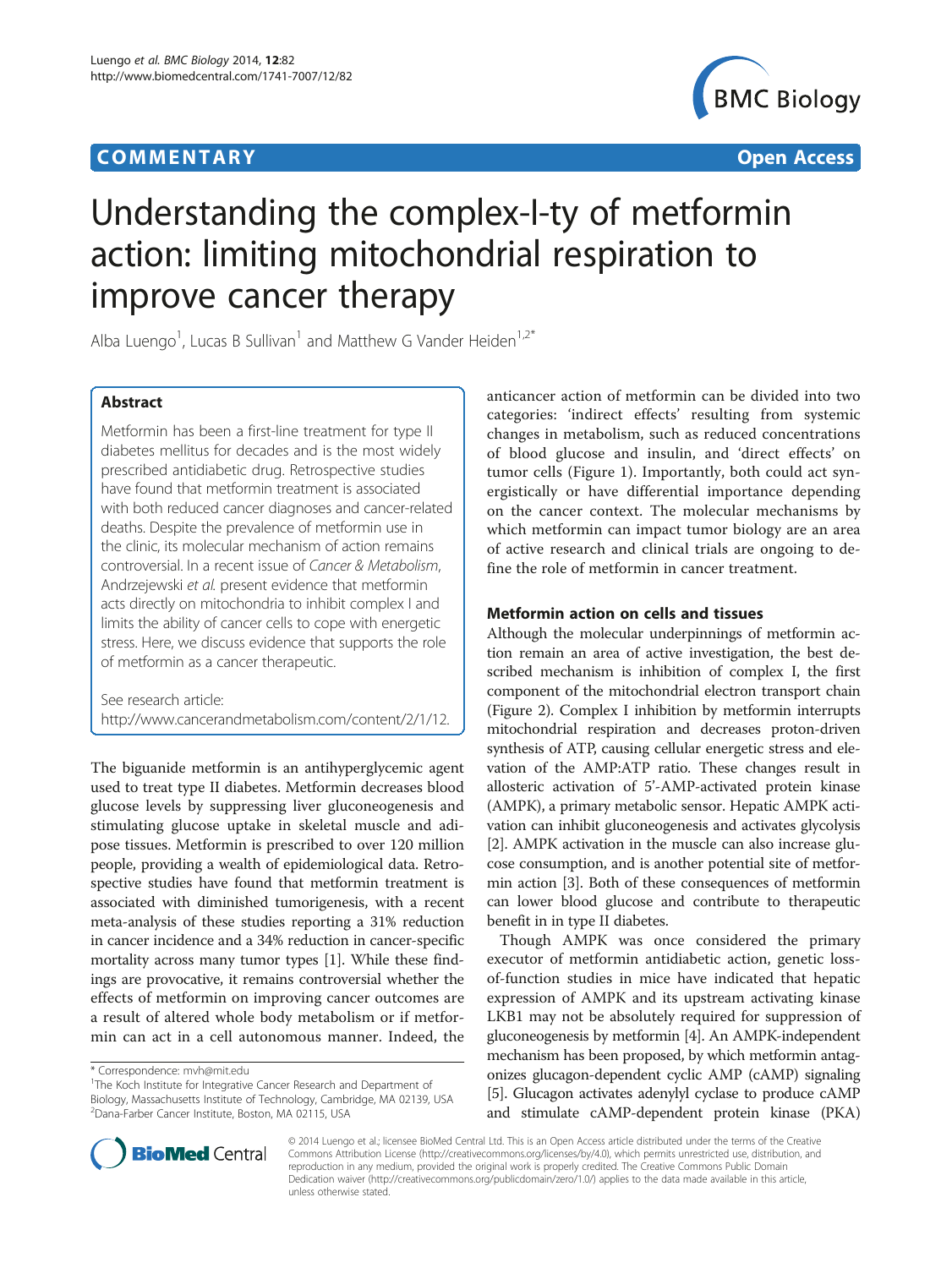# **COMMENTARY COMMENTARY Open Access**



# Understanding the complex-I-ty of metformin action: limiting mitochondrial respiration to improve cancer therapy

Alba Luengo<sup>1</sup>, Lucas B Sullivan<sup>1</sup> and Matthew G Vander Heiden<sup>1,2\*</sup>

## Abstract

Metformin has been a first-line treatment for type II diabetes mellitus for decades and is the most widely prescribed antidiabetic drug. Retrospective studies have found that metformin treatment is associated with both reduced cancer diagnoses and cancer-related deaths. Despite the prevalence of metformin use in the clinic, its molecular mechanism of action remains controversial. In a recent issue of Cancer & Metabolism, Andrzejewski et al. present evidence that metformin acts directly on mitochondria to inhibit complex I and limits the ability of cancer cells to cope with energetic stress. Here, we discuss evidence that supports the role of metformin as a cancer therapeutic.

See research article: [http://www.cancerandmetabolism.com/content/2/1/12.](http://www.cancerandmetabolism.com/content/2/1/12)

The biguanide metformin is an antihyperglycemic agent used to treat type II diabetes. Metformin decreases blood glucose levels by suppressing liver gluconeogenesis and stimulating glucose uptake in skeletal muscle and adipose tissues. Metformin is prescribed to over 120 million people, providing a wealth of epidemiological data. Retrospective studies have found that metformin treatment is associated with diminished tumorigenesis, with a recent meta-analysis of these studies reporting a 31% reduction in cancer incidence and a 34% reduction in cancer-specific mortality across many tumor types [[1\]](#page-3-0). While these findings are provocative, it remains controversial whether the effects of metformin on improving cancer outcomes are a result of altered whole body metabolism or if metformin can act in a cell autonomous manner. Indeed, the

anticancer action of metformin can be divided into two categories: 'indirect effects' resulting from systemic changes in metabolism, such as reduced concentrations of blood glucose and insulin, and 'direct effects' on tumor cells (Figure [1](#page-1-0)). Importantly, both could act synergistically or have differential importance depending on the cancer context. The molecular mechanisms by which metformin can impact tumor biology are an area of active research and clinical trials are ongoing to define the role of metformin in cancer treatment.

## Metformin action on cells and tissues

Although the molecular underpinnings of metformin action remain an area of active investigation, the best described mechanism is inhibition of complex I, the first component of the mitochondrial electron transport chain (Figure [2\)](#page-2-0). Complex I inhibition by metformin interrupts mitochondrial respiration and decreases proton-driven synthesis of ATP, causing cellular energetic stress and elevation of the AMP:ATP ratio. These changes result in allosteric activation of 5'-AMP-activated protein kinase (AMPK), a primary metabolic sensor. Hepatic AMPK activation can inhibit gluconeogenesis and activates glycolysis [[2\]](#page-3-0). AMPK activation in the muscle can also increase glucose consumption, and is another potential site of metformin action [\[3\]](#page-3-0). Both of these consequences of metformin can lower blood glucose and contribute to therapeutic benefit in in type II diabetes.

Though AMPK was once considered the primary executor of metformin antidiabetic action, genetic lossof-function studies in mice have indicated that hepatic expression of AMPK and its upstream activating kinase LKB1 may not be absolutely required for suppression of gluconeogenesis by metformin [\[4\]](#page-3-0). An AMPK-independent mechanism has been proposed, by which metformin antagonizes glucagon-dependent cyclic AMP (cAMP) signaling [[5](#page-3-0)]. Glucagon activates adenylyl cyclase to produce cAMP and stimulate cAMP-dependent protein kinase (PKA)



© 2014 Luengo et al.; licensee BioMed Central Ltd. This is an Open Access article distributed under the terms of the Creative Commons Attribution License [\(http://creativecommons.org/licenses/by/4.0\)](http://creativecommons.org/licenses/by/4.0), which permits unrestricted use, distribution, and reproduction in any medium, provided the original work is properly credited. The Creative Commons Public Domain Dedication waiver [\(http://creativecommons.org/publicdomain/zero/1.0/](http://creativecommons.org/publicdomain/zero/1.0/)) applies to the data made available in this article, unless otherwise stated.

<sup>\*</sup> Correspondence: [mvh@mit.edu](mailto:mvh@mit.edu) <sup>1</sup>

<sup>&</sup>lt;sup>1</sup>The Koch Institute for Integrative Cancer Research and Department of Biology, Massachusetts Institute of Technology, Cambridge, MA 02139, USA 2 Dana-Farber Cancer Institute, Boston, MA 02115, USA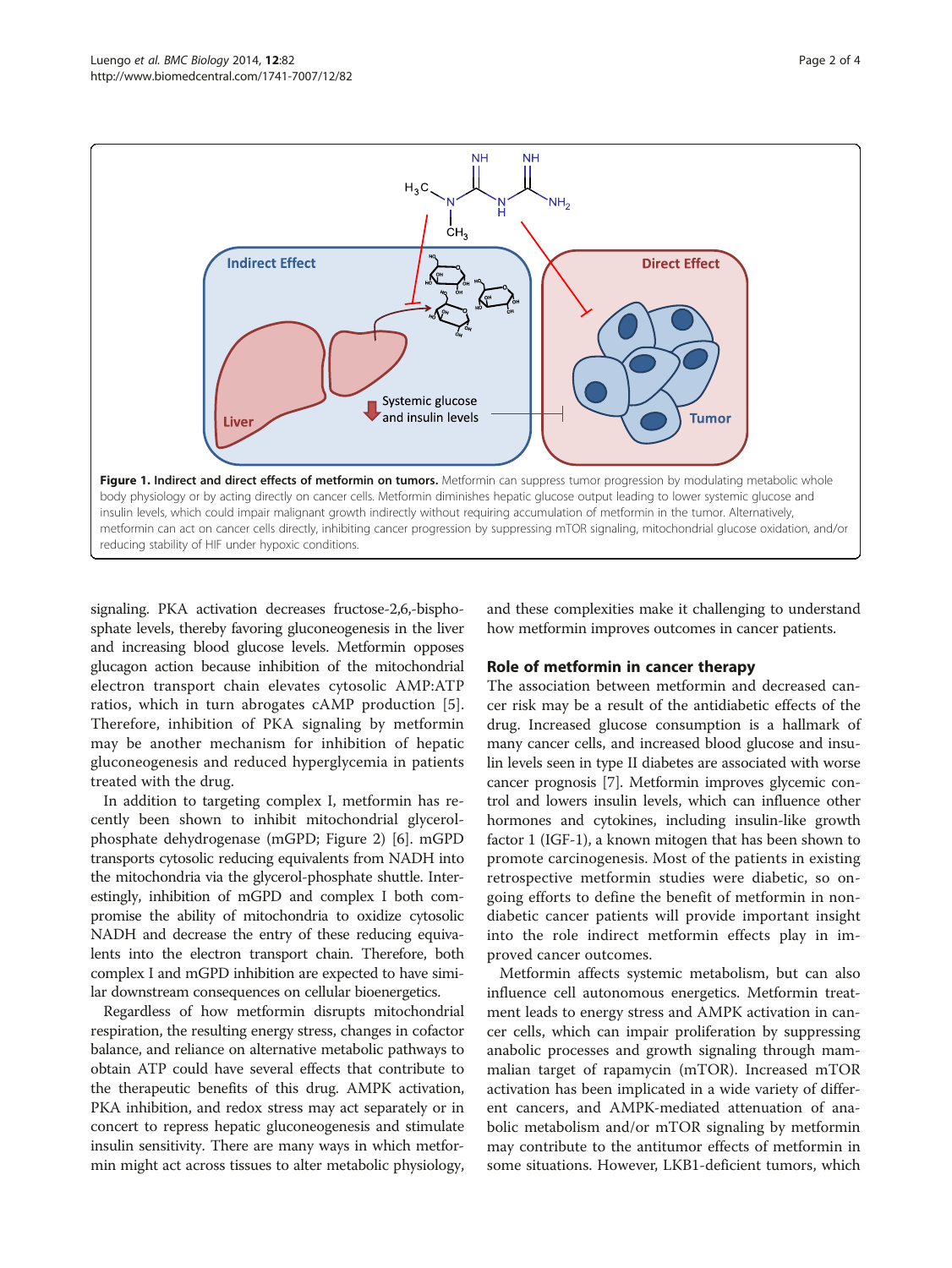<span id="page-1-0"></span>

signaling. PKA activation decreases fructose-2,6,-bisphosphate levels, thereby favoring gluconeogenesis in the liver and increasing blood glucose levels. Metformin opposes glucagon action because inhibition of the mitochondrial electron transport chain elevates cytosolic AMP:ATP ratios, which in turn abrogates cAMP production [\[5](#page-3-0)]. Therefore, inhibition of PKA signaling by metformin may be another mechanism for inhibition of hepatic gluconeogenesis and reduced hyperglycemia in patients treated with the drug.

In addition to targeting complex I, metformin has recently been shown to inhibit mitochondrial glycerolphosphate dehydrogenase (mGPD; Figure [2](#page-2-0)) [\[6](#page-3-0)]. mGPD transports cytosolic reducing equivalents from NADH into the mitochondria via the glycerol-phosphate shuttle. Interestingly, inhibition of mGPD and complex I both compromise the ability of mitochondria to oxidize cytosolic NADH and decrease the entry of these reducing equivalents into the electron transport chain. Therefore, both complex I and mGPD inhibition are expected to have similar downstream consequences on cellular bioenergetics.

Regardless of how metformin disrupts mitochondrial respiration, the resulting energy stress, changes in cofactor balance, and reliance on alternative metabolic pathways to obtain ATP could have several effects that contribute to the therapeutic benefits of this drug. AMPK activation, PKA inhibition, and redox stress may act separately or in concert to repress hepatic gluconeogenesis and stimulate insulin sensitivity. There are many ways in which metformin might act across tissues to alter metabolic physiology,

and these complexities make it challenging to understand how metformin improves outcomes in cancer patients.

#### Role of metformin in cancer therapy

The association between metformin and decreased cancer risk may be a result of the antidiabetic effects of the drug. Increased glucose consumption is a hallmark of many cancer cells, and increased blood glucose and insulin levels seen in type II diabetes are associated with worse cancer prognosis [\[7\]](#page-3-0). Metformin improves glycemic control and lowers insulin levels, which can influence other hormones and cytokines, including insulin-like growth factor 1 (IGF-1), a known mitogen that has been shown to promote carcinogenesis. Most of the patients in existing retrospective metformin studies were diabetic, so ongoing efforts to define the benefit of metformin in nondiabetic cancer patients will provide important insight into the role indirect metformin effects play in improved cancer outcomes.

Metformin affects systemic metabolism, but can also influence cell autonomous energetics. Metformin treatment leads to energy stress and AMPK activation in cancer cells, which can impair proliferation by suppressing anabolic processes and growth signaling through mammalian target of rapamycin (mTOR). Increased mTOR activation has been implicated in a wide variety of different cancers, and AMPK-mediated attenuation of anabolic metabolism and/or mTOR signaling by metformin may contribute to the antitumor effects of metformin in some situations. However, LKB1-deficient tumors, which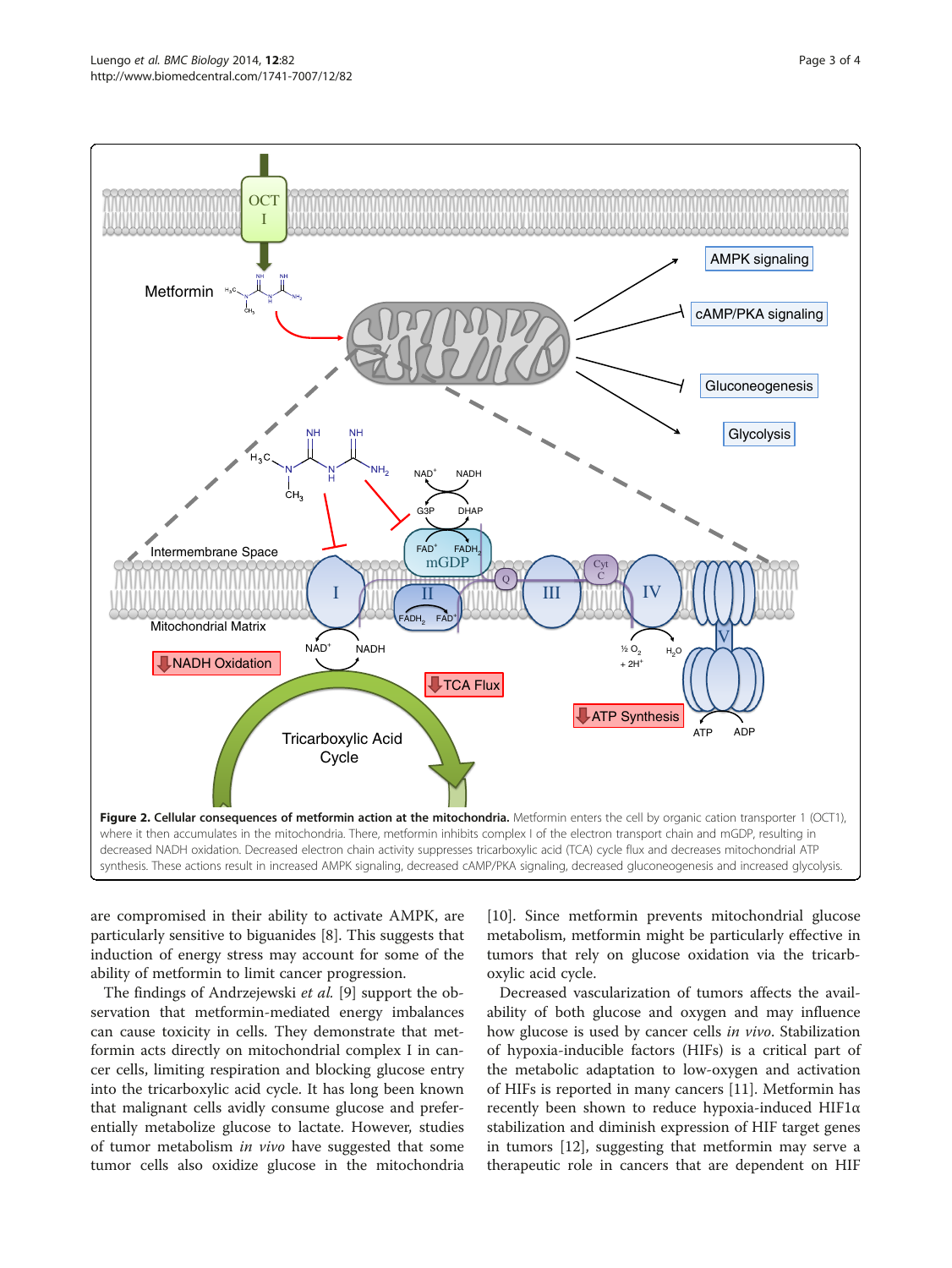<span id="page-2-0"></span>

are compromised in their ability to activate AMPK, are particularly sensitive to biguanides [[8\]](#page-3-0). This suggests that induction of energy stress may account for some of the ability of metformin to limit cancer progression.

The findings of Andrzejewski et al. [\[9](#page-3-0)] support the observation that metformin-mediated energy imbalances can cause toxicity in cells. They demonstrate that metformin acts directly on mitochondrial complex I in cancer cells, limiting respiration and blocking glucose entry into the tricarboxylic acid cycle. It has long been known that malignant cells avidly consume glucose and preferentially metabolize glucose to lactate. However, studies of tumor metabolism in vivo have suggested that some tumor cells also oxidize glucose in the mitochondria [[10\]](#page-3-0). Since metformin prevents mitochondrial glucose metabolism, metformin might be particularly effective in tumors that rely on glucose oxidation via the tricarboxylic acid cycle.

Decreased vascularization of tumors affects the availability of both glucose and oxygen and may influence how glucose is used by cancer cells in vivo. Stabilization of hypoxia-inducible factors (HIFs) is a critical part of the metabolic adaptation to low-oxygen and activation of HIFs is reported in many cancers [\[11\]](#page-3-0). Metformin has recently been shown to reduce hypoxia-induced HIF1α stabilization and diminish expression of HIF target genes in tumors [[12](#page-3-0)], suggesting that metformin may serve a therapeutic role in cancers that are dependent on HIF